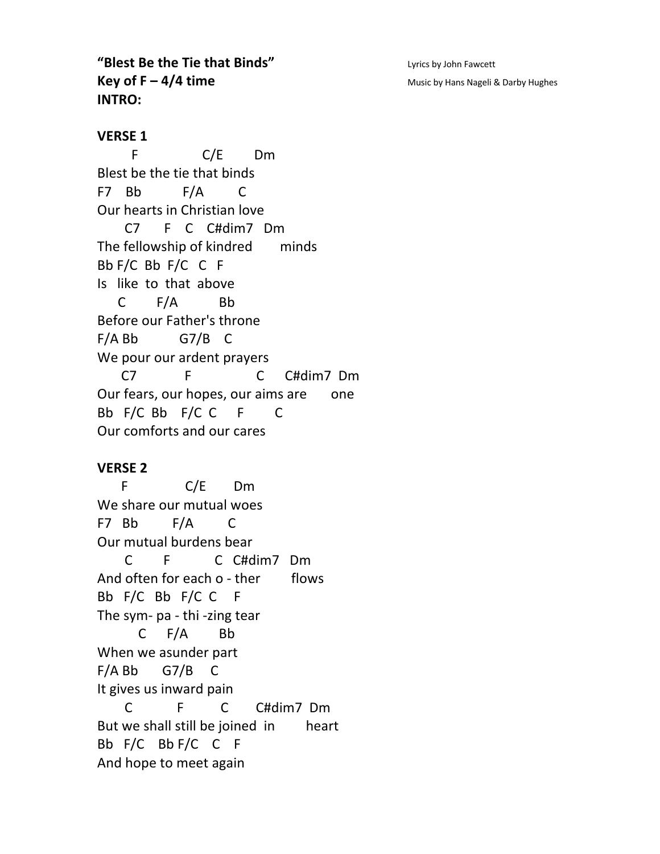**"Blest Be the Tie that Binds"** Lyrics by John Fawcett **Key of F – 4/4 time** Music by Hans Nageli & Darby Hughes **INTRO:**

**VERSE 1**

 F C/E Dm Blest be the tie that binds F7 Bb F/A C Our hearts in Christian love C7 F C C#dim7 Dm The fellowship of kindred minds Bb F/C Bb F/C C F Is like to that above C F/A Bb Before our Father's throne  $F/A$  Bb G7/B C We pour our ardent prayers C7 F C C#dim7 Dm Our fears, our hopes, our aims are one Bb F/C Bb F/C C F C Our comforts and our cares

## **VERSE 2**

 F C/E Dm We share our mutual woes F7 Bb F/A C Our mutual burdens bear C F C C#dim7 Dm And often for each o - ther flows Bb F/C Bb F/C C F The sym- pa - thi -zing tear C F/A Bb When we asunder part F/A Bb G7/B C It gives us inward pain C F C C#dim7 Dm But we shall still be joined in heart Bb F/C Bb F/C C F And hope to meet again